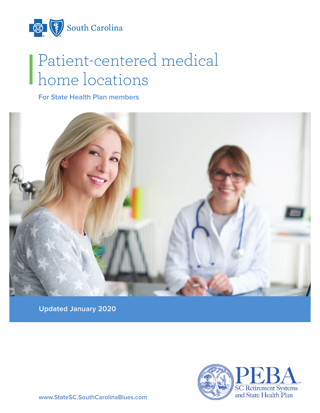

# Patient-centered medical home locations

**For State Health Plan members**



**Updated January 2020**

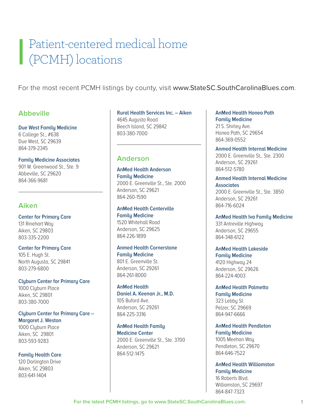# Patient-centered medical home (PCMH) locations

For the most recent PCMH listings by county, visit www.StateSC.SouthCarolinaBlues.com.

## **Abbeville**

#### **Due West Family Medicine**

6 College St., #638 Due West, SC 29639 864-379-2345

#### **Family Medicine Associates**

901 W. Greenwood St., Ste. 9 Abbeville, SC 29620 864-366-9681

## **Aiken**

**Center for Primary Care**  131 Rinehart Way Aiken, SC 29803 803-335-2200

#### **Center for Primary Care**

105 E. Hugh St. North Augusta, SC 29841 803-279-6800

#### **Clyburn Center for Primary Care**

1000 Clyburn Place Aiken, SC 29801 803-380-7000

#### **Clyburn Center for Primary Care – Margaret J. Weston**

1000 Clyburn Place Aiken, SC 29801 803-593-9283

#### **Family Health Care**

120 Darlington Drive Aiken, SC 29803 803-641-1404

## **Rural Health Services Inc. – Aiken**  4645 Augusta Road Beech Island, SC 29842 803-380-7000

## **Anderson**

**AnMed Health Anderson Family Medicine** 2000 E. Greenville St., Ste. 2000 Anderson, SC 29621 864-260-1590

## **AnMed Health Centerville Family Medicine** 1520 Whitehall Road

Anderson, SC 29625 864-226-1899

#### **Anmed Health Cornerstone Family Medicine**  801 E. Greenville St.

Anderson, SC 29261 864-261-8000

#### **AnMed Health**

**Daniel A. Keenan Jr., M.D.** 105 Buford Ave. Anderson, SC 29261 864-225-3316

# **AnMed Health Family Medicine Center** 2000 E. Greenville St., Ste. 3700

Anderson, SC 29621 864-512-1475

#### **AnMed Health Honea Path Family Medicine** 21 S. Shirley Ave. Honea Path, SC 29654 864-369-0552

**Anmed Health Internal Medicine**  2000 E. Greenville St., Ste. 2300 Anderson, SC 29261 864-512-5780

## **Anmed Health Internal Medicine Associates**

2000 E. Greenville St., Ste. 3850 Anderson, SC 29261 864-716-6024

**AnMed Health Iva Family Medicine** 331 Antreville Highway

Anderson, SC 29655 864-348-6122

#### **AnMed Health Lakeside Family Medicine** 4120 Highway 24 Anderson, SC 29626 864-224-4003

**AnMed Health Palmetto Family Medicine** 323 Lebby St. Pelzer, SC 29669 864-947-6666

#### **AnMed Health Pendleton Family Medicine**

1005 Meehan Way Pendleton, SC 29670 864-646-7522

#### **AnMed Health Williamston Family Medicine** 16 Roberts Blvd. Williamston, SC 29697 864-847-7323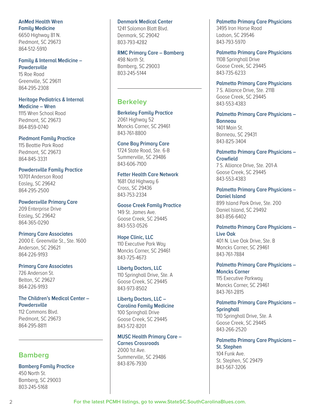#### **AnMed Health Wren Family Medicine**

6650 Highway 81 N. Piedmont, SC 29673 864-512-5910

## **Family & Internal Medicine –**

**Powdersville** 15 Roe Road Greenville, SC 29611 864-295-2308

# **Heritage Pediatrics & Internal**

**Medicine – Wren** 1115 Wren School Road Piedmont, SC 29673 864-859-0740

#### **Piedmont Family Practice**

115 Beattie Park Road Piedmont, SC 29673 864-845-3331

#### **Powdersville Family Practice**

10701 Anderson Road Easley, SC 29642 864-295-2500

# **Powdersville Primary Care**

209 Enterprise Drive Easley, SC 29642 864-365-0290

#### **Primary Care Associates**

2000 E. Greenville St., Ste. 1600 Anderson, SC 29621 864-226-9193

#### **Primary Care Associates**

726 Anderson St. Belton, SC 29627 864-226-9193

**The Children's Medical Center – Powdersville** 112 Commons Blvd.

Piedmont, SC 29673 864-295-8811

# **Bamberg**

**Bamberg Family Practice** 450 North St. Bamberg, SC 29003 803-245-5168

#### **Denmark Medical Center**

1241 Solomon Blatt Blvd. Denmark, SC 29042 803-793-4282

#### **RMC Primary Care – Bamberg**

498 North St. Bamberg, SC 29003 803-245-5144

# **Berkeley**

**Berkeley Family Practice** 2061 Highway 52

Moncks Corner, SC 29461 843-761-8800

## **Cane Bay Primary Care**

1724 State Road, Ste. 6-B Summerville, SC 29486 843-606-7100

#### **Fetter Health Care Network** 1681 Old Highway 6

Cross, SC 29436 843-753-2334

#### **Goose Creek Family Practice** 149 St. James Ave.

Goose Creek, SC 29445 843-553-0526

#### **Hope Clinic, LLC**

110 Executive Park Way Moncks Corner, SC 29461 843-725-4673

#### **Liberty Doctors, LLC**

110 Springhall Drive, Ste. A Goose Creek, SC 29445 843-973-8502

#### **Liberty Doctors, LLC – Carolina Family Medicine**

100 Springhall Drive Goose Creek, SC 29445 843-572-8201

#### **MUSC Health Primary Care –**

**Carnes Crossroads** 2000 1st Ave. Summerville, SC 29486 843-876-7930

**Palmetto Primary Care Physicians**

3495 Iron Horse Road Ladson, SC 29546 843-793-5970

**Palmetto Primary Care Physicians** 110B Springhall Drive Goose Creek, SC 29445 843-735-6233

## **Palmetto Primary Care Physicians**

7 S. Alliance Drive, Ste. 211B Goose Creek, SC 29445 843-553-4383

**Palmetto Primary Care Physicians – Bonneau** 1401 Main St.

Bonneau, SC 29431 843-825-3404

## **Palmetto Primary Care Physicians – Crowfield**

7 S. Alliance Drive, Ste. 201-A Goose Creek, SC 29445 843-553-4383

**Palmetto Primary Care Physicians – Daniel Island** 899 Island Park Drive, Ste. 200 Daniel Island, SC 29492 843-856-6402

# **Palmetto Primary Care Physicians – Live Oak** 401 N. Live Oak Drive, Ste. B

Moncks Corner, SC 29461 843-761-7884

#### **Palmetto Primary Care Physicians – Moncks Corner**

115 Executive Parkway Moncks Corner, SC 29461 843-761-2815

## **Palmetto Primary Care Physicians – Springhall**

110 Springhall Drive, Ste. A Goose Creek, SC 29445 843-266-2520

## **Palmetto Primary Care Physicians –**

**St. Stephen** 104 Funk Ave. St. Stephen, SC 29479 843-567-3206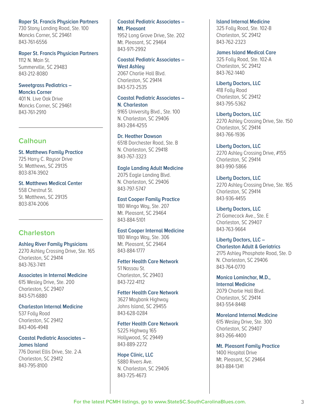#### **Roper St. Francis Physician Partners**

730 Stony Landing Road, Ste. 100 Moncks Corner, SC 29461 843-761-6556

#### **Roper St. Francis Physician Partners**

1112 N. Main St. Summerville, SC 29483 843-212-8080

#### **Sweetgrass Pediatrics – Moncks Corner**

401 N. Live Oak Drive Moncks Corner, SC 29461 843-761-2910

## **Calhoun**

**St. Matthews Family Practice** 725 Harry C. Raysor Drive St. Matthews, SC 29135 803-874-3902

# **St. Matthews Medical Center** 558 Chestnut St.

St. Matthews, SC 29135 803-874-2006

## **Charleston**

#### **Ashley River Family Physicians**

2270 Ashley Crossing Drive, Ste. 165 Charleston, SC 29414 843-763-7411

#### **Associates in Internal Medicine**

615 Wesley Drive, Ste. 200 Charleston, SC 29407 843-571-6880

#### **Charleston Internal Medicine** 537 Folly Road

Charleston, SC 29412 843-406-4948

#### **Coastal Pediatric Associates – James Island**

776 Daniel Ellis Drive, Ste. 2-A Charleston, SC 29412 843-795-8100

## **Coastal Pediatric Associates – Mt. Pleasant**

1952 Long Grove Drive, Ste. 202 Mt. Pleasant, SC 29464 843-971-2992

## **Coastal Pediatric Associates – West Ashley**

2067 Charlie Hall Blvd. Charleston, SC 29414 843-573-2535

## **Coastal Pediatric Associates –**

**N. Charleston** 9165 University Blvd., Ste. 100 N. Charleston, SC 29406 843-284-4255

#### **Dr. Heather Dawson**

6518 Dorchester Road, Ste. B N. Charleston, SC 29418 843-767-3323

#### **Eagle Landing Adult Medicine**

2075 Eagle Landing Blvd. N. Charleston, SC 29406 843-797-5747

#### **East Cooper Family Practice**

180 Wingo Way, Ste. 207 Mt. Pleasant, SC 29464 843-884-5101

#### **East Cooper Internal Medicine**

180 Wingo Way, Ste. 306 Mt. Pleasant, SC 29464 843-884-1777

#### **Fetter Health Care Network**

51 Nassau St. Charleston, SC 29403 843-722-4112

## **Fetter Health Care Network**

3627 Maybank Highway Johns Island, SC 29455 843-628-0284

#### **Fetter Health Care Network**

5225 Highway 165 Hollywood, SC 29449 843-889-2272

#### **Hope Clinic, LLC**

5880 Rivers Ave. N. Charleston, SC 29406 843-725-4673

#### **Island Internal Medicine**

325 Folly Road, Ste. 102-B Charleston, SC 29412 843-762-2323

#### **James Island Medical Care**

325 Folly Road, Ste. 102-A Charleston, SC 29412 843-762-1440

#### **Liberty Doctors, LLC**

418 Folly Road Charleston, SC 29412 843-795-5362

#### **Liberty Doctors, LLC**

2270 Ashley Crossing Drive, Ste. 150 Charleston, SC 29414 843-766-1936

#### **Liberty Doctors, LLC**

2270 Ashley Crossing Drive, #155 Charleston, SC 29414 843-990-5866

#### **Liberty Doctors, LLC**

2270 Ashley Crossing Drive, Ste. 165 Charleston, SC 29414 843-936-4455

#### **Liberty Doctors, LLC**

21 Gamecock Ave., Ste. E Charleston, SC 29407 843-763-9664

## **Liberty Doctors, LLC –**

**Charleston Adult & Geriatrics** 2175 Ashley Phosphate Road, Ste. D N. Charleston, SC 29406 843-764-0770

#### **Monica Lominchar, M.D., Internal Medicine** 2079 Charlie Hall Blvd.

Charleston, SC 29414 843-554-8448

#### **Moreland Internal Medicine**

615 Wesley Drive, Ste. 300 Charleston, SC 29407 843-266-4400

#### **Mt. Pleasant Family Practice**

1400 Hospital Drive Mt. Pleasant, SC 29464 843-884-1341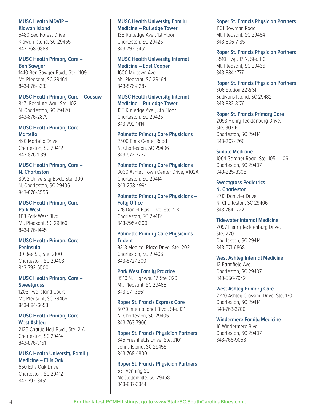#### **MUSC Health MDVIP – Kiawah Island**

5480 Sea Forest Drive Kiawah Island, SC 29455 843-768-0888

#### **MUSC Health Primary Care – Ben Sawyer**

1440 Ben Sawyer Blvd., Ste. 1109 Mt. Pleasant, SC 29464 843-876-8333

#### **MUSC Health Primary Care – Coosaw**

8471 Resolute Wau, Ste. 102 N. Charleston, SC 29420 843-876-2879

#### **MUSC Health Primary Care – Martello**

490 Martello Drive Charleston, SC 29412 843-876-1139

# **MUSC Health Primary Care –**

**N. Charleston** 8992 Universitu Blvd., Ste. 300 N. Charleston, SC 29406 843-876-8555

#### **MUSC Health Primary Care – Park West** 1113 Park West Blvd. Mt. Pleasant, SC 29466

## **MUSC Health Primary Care – Peninsula**

30 Bee St., Ste. 2100 Charleston, SC 29403 843-792-6500

843-876-1445

## **MUSC Health Primary Care – Sweetgrass**

1208 Two Island Court Mt. Pleasant, SC 29466 843-884-6653

#### **MUSC Health Primary Care – West Ashley**

2125 Charlie Hall Blvd., Ste. 2-A Charleston, SC 29414 843-876-3151

## **MUSC Health University Family Medicine – Ellis Oak**

650 Ellis Oak Drive Charleston, SC 29412 843-792-3451

## **MUSC Health University Family Medicine – Rutledge Tower**

135 Rutledge Ave., 1st Floor Charleston, SC 29425 843-792-3451

#### **MUSC Health University Internal Medicine – East Cooper**

1600 Midtown Ave. Mt. Pleasant, SC 29464 843-876-8282

## **MUSC Health University Internal**

**Medicine – Rutledge Tower** 135 Rutledge Ave., 8th Floor Charleston, SC 29425

843-792-1414

## **Palmetto Primary Care Physicians**

2500 Elms Center Road N. Charleston, SC 29406 843-572-7727

## **Palmetto Primary Care Physicians**

3030 Ashley Town Center Drive, #102A Charleston, SC 29414 843-258-4994

#### **Palmetto Primary Care Physicians – Folly Office** 776 Daniel Ellis Drive, Ste. 1-B

Charleston, SC 29412 843-795-0300

# **Palmetto Primary Care Physicians –**

**Trident** 9313 Medical Plaza Drive, Ste. 202

## Charleston, SC 29406 843-572-1200

## **Park West Family Practice**

3510 N. Highway 17, Ste. 320 Mt. Pleasant, SC 29466 843-971-3361

## **Roper St. Francis Express Care**

5070 International Blvd., Ste. 131 N. Charleston, SC 29405 843-763-7906

#### **Roper St. Francis Physician Partners**

345 Freshfields Drive, Ste. J101 Johns Island, SC 29455 843-768-4800

#### **Roper St. Francis Physician Partners**

631 Venning St. McClellanville, SC 29458 843-887-3344

# **Roper St. Francis Physician Partners**

1101 Bowman Road Mt. Pleasant, SC 29464 843-606-7185

**Roper St. Francis Physician Partners** 3510 Hwy. 17 N, Ste. 110 Mt. Pleasant, SC 29466 843-884-1777

#### **Roper St. Francis Physician Partners** 306 Station 22½ St. Sullivans Island, SC 29482

843-883-3176

## **Roper St. Francis Primary Care** 2093 Henry Tecklenburg Drive, Ste. 307-E

Charleston, SC 29414 843-207-1760

## **Simple Medicine**

1064 Gardner Road, Ste. 105 – 106 Charleston, SC 29407 843-225-8308

**Sweetgrass Pediatrics – N. Charleston** 2713 Dantzler Drive N. Charleston, SC 29406 843-764-1722

**Tidewater Internal Medicine** 2097 Henry Tecklenburg Drive, Ste. 220 Charleston, SC 29414 843-571-6868

#### **West Ashley Internal Medicine** 12 Farmfield Ave. Charleston, SC 29407 843-556-7942

**West Ashley Primary Care** 2270 Ashley Crossing Drive, Ste. 170 Charleston, SC 29414 843-763-3700

#### **Windermere Family Medicine**

16 Windermere Blvd. Charleston, SC 29407 843-766-9053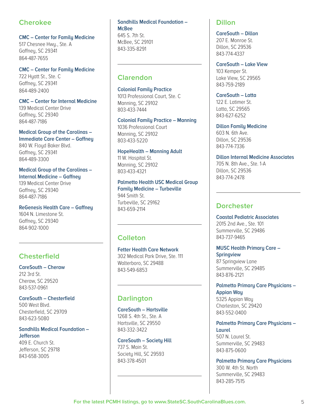# **Cherokee**

**CMC – Center for Family Medicine** 

517 Chesnee Hwy., Ste. A Gaffney, SC 29341 864-487-7655

**CMC – Center for Family Medicine** 722 Hyatt St., Ste. C Gaffney, SC 29341 864-489-2400

**CMC – Center for Internal Medicine** 

139 Medical Center Drive Gaffney, SC 29340 864-487-7186

**Medical Group of the Carolinas – Immediate Care Center – Gaffney** 840 W. Floyd Baker Blvd. Gaffney, SC 29341 864-489-3300

**Medical Group of the Carolinas – Internal Medicine – Gaffney**

139 Medical Center Drive Gaffneu, SC 29340 864-487-7186

**ReGenesis Health Care – Gaffney** 1604 N. Limestone St. Gaffney, SC 29340 864-902-1000

# **Chesterfield**

**CareSouth – Cheraw** 212 3rd St. Cheraw, SC 29520 843-537-0961

**CareSouth – Chesterfield** 500 West Blvd. Chesterfield, SC 29709 843-623-5080

## **Sandhills Medical Foundation – Jefferson**

409 E. Church St. Jefferson, SC 29718 843-658-3005

#### **Sandhills Medical Foundation – McBee** 645 S. 7th St. McBee, SC 29101 843-335-8291

# **Clarendon**

**Colonial Family Practice** 

1013 Professional Court, Ste. C Manning, SC 29102 803-433-7444

**Colonial Family Practice – Manning**

1036 Professional Court Manning, SC 29102 803-433-5220

**HopeHealth – Manning Adult** 11 W. Hospital St. Manning, SC 29102 803-433-4321

**Palmetto Health USC Medical Group Family Medicine – Turbeville**  944 Smith St. Turbeville, SC 29162 843-659-2114

# **Colleton**

**Fetter Health Care Network** 302 Medical Park Drive, Ste. 111 Walterboro, SC 29488 843-549-6853

# **Darlington**

**CareSouth – Hartsville** 1268 S. 4th St., Ste. A Hartsville, SC 29550 843-332-3422

#### **CareSouth – Society Hill**

737 S. Main St. Society Hill, SC 29593 843-378-4501

## **Dillon**

**CareSouth – Dillon** 207 E. Monroe St. Dillon, SC 29536 843-774-4337

**CareSouth – Lake View** 103 Kemper St. Lake View, SC 29565 843-759-2189

**CareSouth – Latta** 122 E. Latimer St. Latta, SC 29565 843-627-6252

**Dillon Family Medicine** 603 N. 6th Ave. Dillon, SC 29536 843-774-7336

**Dillon Internal Medicine Associates** 705 N. 8th Ave., Ste. 1-A Dillon, SC 29536 843-774-2478

# **Dorchester**

**Coastal Pediatric Associates** 2015 2nd Ave., Ste. 101 Summerville, SC 29486 843-737-9465

**MUSC Health Primary Care – Springview** 87 Springview Lane

Summerville, SC 29485 843-876-2121

**Palmetto Primary Care Physicians – Appian Way**

5325 Appian Way Charleston, SC 29420 843-552-0400

**Palmetto Primary Care Physicians – Laurel**

507 N. Laurel St. Summerville, SC 29483 843-875-0600

**Palmetto Primary Care Physicians**  300 W. 4th St. North Summerville, SC 29483 843-285-7515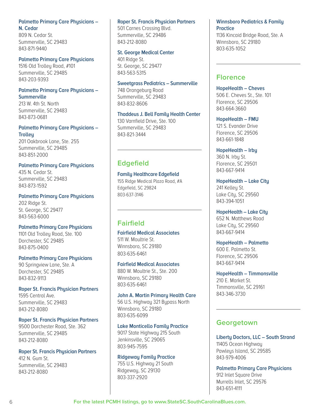## **Palmetto Primary Care Physicians – N. Cedar**

809 N. Cedar St. Summerville, SC 29483 843-871-9440

#### **Palmetto Primary Care Physicians**

1516 Old Trolley Road, #101 Summerville, SC 29485 843-203-9393

#### **Palmetto Primary Care Physicians – Summerville**

213 W. 4th St. North Summerville, SC 29483 843-873-0681

#### **Palmetto Primary Care Physicians – Trolley**

201 Oakbrook Lane, Ste. 255 Summerville, SC 29485 843-851-2000

## **Palmetto Primary Care Physicians** 435 N. Cedar St.

Summerville, SC 29483 843-873-1592

# **Palmetto Primary Care Physicians**

202 Ridge St. St. George, SC 29477 843-563-6000

#### **Palmetto Primary Care Physicians**

1101 Old Trolley Road, Ste. 100 Dorchester, SC 29485 843-875-0400

## **Palmetto Primary Care Physicians**

90 Springview Lane, Ste. A Dorchester, SC 29485 843-832-9113

#### **Roper St. Francis Physician Partners** 1595 Central Ave. Summerville, SC 29483 843-212-8080

#### **Roper St. Francis Physician Partners**

9500 Dorchester Road, Ste. 362 Summerville, SC 29485 843-212-8080

#### **Roper St. Francis Physician Partners**

412 N. Gum St. Summerville, SC 29483 843-212-8080

#### **Roper St. Francis Physician Partners**

501 Carnes Crossing Blvd. Summerville, SC 29486 843-212-8080

#### **St. George Medical Center**

401 Ridge St. St. George, SC 29477 843-563-5315

#### **Sweetgrass Pediatrics – Summerville**

748 Orangeburg Road Summerville, SC 29483 843-832-8606

## **Thaddeus J. Bell Family Health Center**

130 Varnfield Drive, Ste. 100 Summerville, SC 29483 843-821-3444

# **Edgefield**

#### **Family Healthcare Edgefield**

155 Ridge Medical Plaza Road, #A Edgefield, SC 29824 803-637-3146

# **Fairfield**

## **Fairfield Medical Associates**  511 W. Moultrie St.

Winnsboro, SC 29180 803-635-6461

#### **Fairfield Medical Associates**

880 W. Moultrie St., Ste. 200 Winnsboro, SC 29180 803-635-6461

#### **John A. Martin Primary Health Care**

56 U.S. Highway 321 Bypass North Winnsboro, SC 29180 803-635-6099

#### **Lake Monticello Family Practice**

9017 State Highway 215 South Jenkinsville, SC 29065 803-945-7595

#### **Ridgeway Family Practice**

755 U.S. Highway 21 South Ridgeway, SC 29130 803-337-2920

## **Winnsboro Pediatrics & Family Practice**

1136 Kincaid Bridge Road, Ste. A Winnsboro, SC 29180 803-635-1052

## **Florence**

**HopeHealth – Cheves** 506 E. Cheves St., Ste. 101 Florence, SC 29506 843-664-3660

**HopeHealth – FMU** 121 S. Evander Drive Florence, SC 29506 843-661-1848

# **HopeHealth – Irby** 360 N. Irby St.

Florence, SC 29501 843-667-9414

**HopeHealth – Lake City** 241 Kelley St. Lake City, SC 29560 843-394-1051

#### **HopeHealth – Lake City**

652 N. Matthews Road Lake City, SC 29560 843-667-9414

# **HopeHealth – Palmetto**

600 E. Palmetto St. Florence, SC 29506 843-667-9414

#### **HopeHealth – Timmonsville** 210 E. Market St. Timmonsville, SC 29161 843-346-3730

## **Georgetown**

**Liberty Doctors, LLC – South Strand**  11405 Ocean Highway Pawleys Island, SC 29585 843-979-4006

**Palmetto Primary Care Physicians** 912 Inlet Square Drive Murrells Inlet, SC 29576 843-651-4111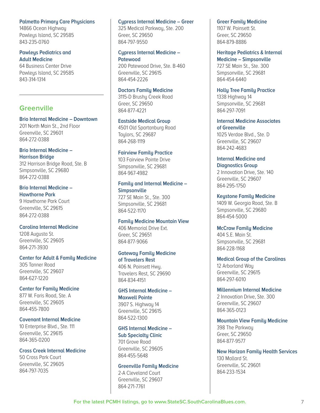#### **Palmetto Primary Care Physicians**

14866 Ocean Highway Pawleus Island, SC 29585 843-235-0760

#### **Pawleys Pediatrics and Adult Medicine**

64 Business Center Drive Pawleus Island, SC 29585 843-314-1314

## **Greenville**

#### **Brio Internal Medicine – Downtown**

201 North Main St., 2nd Floor Greenville, SC 29601 864-272-0388

#### **Brio Internal Medicine – Harrison Bridge**

312 Harrison Bridge Road, Ste. B Simpsonville, SC 29680 864-272-0388

#### **Brio Internal Medicine – Hawthorne Park**

9 Hawthorne Park Court Greenville, SC 29615 864-272-0388

#### **Carolina Internal Medicine**

1208 Augusta St. Greenville, SC 29605 864-271-3930

#### **Center for Adult & Family Medicine**

305 Tanner Road Greenville, SC 29607 864-627-1220

#### **Center for Family Medicine**

877 W. Faris Road, Ste. A Greenville, SC 29605 864-455-7800

#### **Covenant Internal Medicine**

10 Enterprise Blvd., Ste. 111 Greenville, SC 29615 864-365-0200

#### **Cross Creek Internal Medicine**

50 Cross Park Court Greenville, SC 29605 864-797-7035

#### **Cypress Internal Medicine – Greer**

325 Medical Parkway, Ste. 200 Greer, SC 29650 864-797-9550

#### **Cypress Internal Medicine – Patewood**

200 Patewood Drive, Ste. B-460 Greenville, SC 29615 864-454-2226

## **Doctors Family Medicine**

3115-D Brushy Creek Road Greer, SC 29650 864-877-4221

#### **Eastside Medical Group**

4501 Old Spartanburg Road Taylors, SC 29687 864-268-1119

#### **Fairview Family Practice**

103 Fairview Pointe Drive Simpsonville, SC 29681 864-967-4982

## **Family and Internal Medicine – Simpsonville**

727 SE Main St., Ste. 300 Simpsonville, SC 29681 864-522-1170

#### **Family Medicine Mountain View** 406 Memorial Drive Ext.

Greer, SC 29651 864-877-9066

#### **Gateway Family Medicine of Travelers Rest**

406 N. Poinsett Hwy. Travelers Rest, SC 29690 864-834-4151

#### **GHS Internal Medicine – Maxwell Pointe** 3907 S. Highway 14 Greenville, SC 29615

864-522-1300

#### **GHS Internal Medicine – Sub Specialty Clinic**

701 Grove Road Greenville, SC 29605 864-455-5648

#### **Greenville Family Medicine**

2-A Cleveland Court Greenville, SC 29607 864-271-7761

#### **Greer Family Medicine**

1107 W. Poinsett St. Greer, SC 29650 864-879-8886

**Heritage Pediatrics & Internal Medicine – Simpsonville** 727 SE Main St., Ste. 300 Simpsonville, SC 29681 864-454-6440

**Holly Tree Family Practice** 1338 Highway 14 Simpsonville, SC 29681 864-297-7091

**Internal Medicine Associates of Greenville** 1025 Verdae Blvd., Ste. D Greenville, SC 29607 864-242-4683

#### **Internal Medicine and Diagnostics Group**

2 Innovation Drive, Ste. 140 Greenville, SC 29607 864-295-1750

#### **Keystone Family Medicine**

1409 W. Georgia Road, Ste. B Simpsonville, SC 29680 864-454-5000

#### **McCraw Family Medicine**

404 S.E. Main St. Simpsonville, SC 29681 864-228-1168

#### **Medical Group of the Carolinas**

12 Arborland Way Greenville, SC 29615 864-297-6010

## **Millennium Internal Medicine**

2 Innovation Drive, Ste. 300 Greenville, SC 29607 864-365-0123

#### **Mountain View Family Medicine**

398 The Parkway Greer, SC 29650 864-877-9577

**New Horizon Family Health Services** 130 Mallard St. Greenville, SC 29601 864-233-1534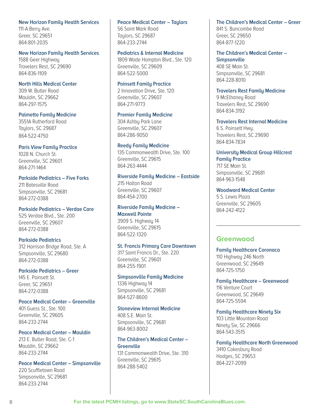#### **New Horizon Family Health Services**

111-A Berry Ave. Greer, SC 29651 864-801-2035

#### **New Horizon Family Health Services**

1588 Geer Highway Travelers Rest, SC 29690 864-836-1109

#### **North Hills Medical Center**

309 W. Butler Road Mauldin, SC 29662 864-297-1575

#### **Palmetto Family Medicine**

3551A Rutherford Road Taylors, SC 29687 864-522-4750

#### **Paris View Family Practice**

1028 N. Church St. Greenville, SC 29601 864-271-1464

# **Parkside Pediatrics – Five Forks**

211 Batesville Road Simpsonville, SC 29681 864-272-0388

#### **Parkside Pediatrics – Verdae Care** 525 Verdae Blvd., Ste. 200 Greenville, SC 29607 864-272-0388

#### **Parkside Pediatrics**

312 Harrison Bridge Road, Ste. A Simpsonville, SC 29680 864-272-0388

#### **Parkside Pediatrics – Greer**

145 E. Poinsett St. Greer, SC 29651 864-272-0388

#### **Peace Medical Center – Greenville**

401 Guess St., Ste. 100 Greenville, SC 29605 864-233-2744

#### **Peace Medical Center – Mauldin**

213 E. Butler Road, Ste. C-1 Mauldin, SC 29662 864-233-2744

## **Peace Medical Center – Simpsonville**

220 Scuffletown Road Simpsonville, SC 29681 864-233-2744

## **Peace Medical Center – Taylors**

56 Saint Mark Road Taulors, SC 29687 864-233-2744

#### **Pediatrics & Internal Medicine**

1809 Wade Hampton Blvd., Ste. 120 Greenville, SC 29609 864-522-5000

#### **Poinsett Family Practice**

2 Innovation Drive, Ste. 120 Greenville, SC 29607 864-271-9773

#### **Premier Family Medicine**

304 Ashby Park Lane Greenville, SC 29607 864-286-9050

#### **Reedy Family Medicine**

135 Commonwealth Drive, Ste. 100 Greenville, SC 29615 864-263-4444

#### **Riverside Family Medicine – Eastside** 215 Halton Road Greenville, SC 29607 864-454-2700

#### **Riverside Family Medicine – Maxwell Pointe** 3909 S. Highway 14

Greenville, SC 29615 864-522-1320

#### **St. Francis Primary Care Downtown**

317 Saint Francis Dr., Ste. 220 Greenville, SC 29601 864-255-1901

#### **Simpsonville Family Medicine**

1336 Highway 14 Simpsonville, SC 29681 864-527-8600

#### **Stoneview Internal Medicine**

408 S.E. Main St. Simpsonville, SC 29681 864-963-8002

#### **The Children's Medical Center – Greenville**

131 Commonwealth Drive, Ste. 310 Greenville, SC 29615 864-288-5402

#### **The Children's Medical Center – Greer**

841 S. Buncombe Road Greer, SC 29650 864-877-1220

**The Children's Medical Center – Simpsonville** 408 SE Main St. Simpsonville, SC 29681 864-228-8010

## **Travelers Rest Family Medicine**

9 McElhaney Road Travelers Rest, SC 29690 864-834-3192

## **Travelers Rest Internal Medicine**

6 S. Poinsett Hwy. Travelers Rest, SC 29690 864-834-7834

#### **University Medical Group Hillcrest Family Practice**

717 SE Main St. Simpsonville, SC 29681 864-963-1548

#### **Woodward Medical Center**

5 S. Lewis Plaza Greenville, SC 29605 864-242-4122

## **Greenwood**

#### **Family Healthcare Coronaca** 110 Highway 246 North Greenwood, SC 29649 864-725-1750

**Family Healthcare – Greenwood** 116 Venture Court Greenwood, SC 29649 864-725-5594

# **Family Healthcare Ninety Six**

103 Little Mountain Road Ninety Six, SC 29666 864-543-3515

#### **Family Healthcare North Greenwood** 3410 Cokesbury Road Hodges, SC 29653 864-227-2099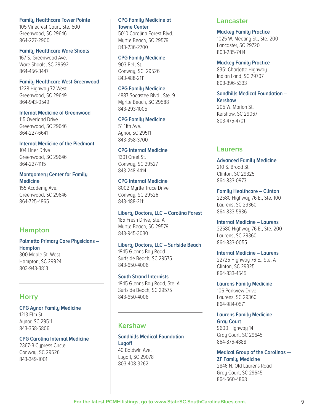#### **Family Healthcare Tower Pointe**

105 Vinecrest Court, Ste. 600 Greenwood, SC 29646 864-227-2900

#### **Family Healthcare Ware Shoals**

167 S. Greenwood Ave. Ware Shoals, SC 29692 864-456-3447

#### **Family Healthcare West Greenwood**

1228 Highway 72 West Greenwood, SC 29649 864-943-0549

#### **Internal Medicine of Greenwood**

115 Overland Drive Greenwood, SC 29646 864-227-6641

#### **Internal Medicine of the Piedmont**

104 Liner Drive Greenwood, SC 29646 864-227-1115

## **Montgomery Center for Family Medicine**

155 Academy Ave. Greenwood, SC 29646 864-725-4865

# **Hampton**

## **Palmetto Primary Care Physicians – Hampton**

300 Maple St. West Hampton, SC 29924 803-943-3813

## **Horry**

**CPG Aynor Family Medicine** 1213 Elm St. Aynor, SC 29511 843-358-5806

#### **CPG Carolina Internal Medicine** 2367-B Cupress Circle Conway, SC 29526 843-349-1001

## **CPG Family Medicine at Towne Center**

5010 Carolina Forest Blvd. Myrtle Beach, SC 29579 843-236-2700

#### **CPG Family Medicine**

903 Bell St. Conway, SC 29526 843-488-2111

#### **CPG Family Medicine**

4887 Socastee Blvd., Ste. 9 Myrtle Beach, SC 29588 843-293-1005

#### **CPG Family Medicine**

51 11th Ave. Aynor, SC 29511 843-358-3700

#### **CPG Internal Medicine**

1301 Creel St. Conway, SC 29527 843-248-4414

#### **CPG Internal Medicine**

8002 Myrtle Trace Drive Conway, SC 29526 843-488-2111

#### **Liberty Doctors, LLC – Carolina Forest**

185 Fresh Drive, Ste. A Myrtle Beach, SC 29579 843-945-3030

#### **Liberty Doctors, LLC – Surfside Beach** 1945 Glenns Bay Road Surfside Beach, SC 29575 843-650-4006

**South Strand Internists** 1945 Glenns Bay Road, Ste. A Surfside Beach, SC 29575 843-650-4006

## **Kershaw**

**Sandhills Medical Foundation – Lugoff** 40 Baldwin Ave. Lugoff, SC 29078 803-408-3262

## **Lancaster**

#### **Mackey Family Practice**

1025 W. Meeting St., Ste. 200 Lancaster, SC 29720 803-285-7414

#### **Mackey Family Practice**

8351 Charlotte Highway Indian Land, SC 29707 803-396-5333

#### **Sandhills Medical Foundation – Kershaw**

205 W. Marion St. Kershaw, SC 29067 803-475-4701

## **Laurens**

**Advanced Family Medicine** 210 S. Broad St. Clinton, SC 29325 864-833-0973

**Family Healthcare – Clinton** 22580 Highway 76 E., Ste. 100 Laurens, SC 29360 864-833-5986

**Internal Medicine – Laurens** 22580 Highway 76 E., Ste. 200 Laurens, SC 29360 864-833-0055

**Internal Medicine – Laurens** 22725 Highway 76 E., Ste. A Clinton, SC 29325 864-833-4545

**Laurens Family Medicine** 106 Parkview Drive Laurens, SC 29360 864-984-0571

**Laurens Family Medicine – Gray Court** 9600 Highway 14 Gray Court, SC 29645 864-876-4888

**Medical Group of the Carolinas — ZF Family Medicine** 2846 N. Old Laurens Road Gray Court, SC 29645 864-560-4868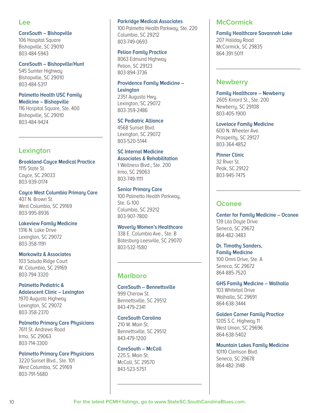## **Lee**

#### **CareSouth – Bishopville**

106 Hospital Square Bishopville, SC 29010 803-484-5943

#### **CareSouth – Bishopville/Hunt**

545 Sumter Highway Bishopville, SC 29010 803-484-5317

#### **Palmetto Health USC Family Medicine – Bishopville**

116 Hospital Square, Ste. 400 Bishopville, SC 29010 803-484-9424

# **Lexington**

**Brookland-Cayce Medical Practice** 1115 State St. Cayce, SC 29033 803-939-0174

#### **Cayce West Columbia Primary Care**

407 N. Brown St. West Columbia, SC 29169 803-995-8936

#### **Lakeview Family Medicine**

1316 N. Lake Drive Lexington, SC 29072 803-358-1191

#### **Markowitz & Associates**

103 Saluda Ridge Court W. Columbia, SC 29169 803-794-3320

## **Palmetto Pediatric & Adolescent Clinic – Lexington**

1970 Augusta Highway Lexington, SC 29072 803-358-2370

#### **Palmetto Primary Care Physicians**

7611 St. Andrews Road Irmo, SC 29063 803-714-3300

#### **Palmetto Primary Care Physicians**

3220 Sunset Blvd., Ste. 101 West Columbia, SC 29169 803-791-5680

#### **Parkridge Medical Associates**

100 Palmetto Health Parkway, Ste. 220 Columbia, SC 29212 803-749-0693

#### **Pelion Family Practice**

8063 Edmund Highway Pelion, SC 29123 803-894-3736

## **Providence Family Medicine – Lexington** 2351 Augusta Hwy.

Lexington, SC 29072 803-359-2486

#### **SC Pediatric Alliance**

4568 Sunset Blvd. Lexington, SC 29072 803-520-5144

## **SC Internal Medicine Associates & Rehabilitation**

1 Wellness Blvd., Ste. 200 Irmo, SC 29063 803-749-1111

#### **Senior Primary Care**

100 Palmetto Health Parkway, Ste. G-100 Columbia, SC 29212 803-907-7800

#### **Waverly Women's Healthcare**

338 E. Columbia Ave., Ste. B Batesburg-Leesville, SC 29070 803-532-1580

## **Marlboro**

**CareSouth – Bennettsville** 999 Cheraw St. Bennettsville, SC 29512 843-479-2341

**CareSouth Carolina**  210 W. Main St. Bennettsville, SC 29512 843-479-1200

#### **CareSouth – McColl** 225 S. Main St. McColl, SC 29570 843-523-5751

## **McCormick**

**Family Healthcare Savannah Lake** 207 Holiday Road McCormick, SC 29835 864-391-5011

## **Newberry**

**Family Healthcare – Newberry** 2605 Kinard St., Ste. 200 Newberry, SC 29108 803-405-1900

#### **Lovelace Family Medicine**

600 N. Wheeler Ave. Prosperity, SC 29127 803-364-4852

#### **Pinner Clinic**

32 River St. Peak, SC 29122 803-945-7475

## **Oconee**

**Center for Family Medicine – Oconee**  139 Lila Doule Drive Seneca, SC 29672 864-482-3483

## **Dr. Timothy Sanders, Family Medicine** 100 Omni Drive, Ste. A

Seneca, SC 29672 864-885-7520

#### **GHS Family Medicine – Walhalla**

103 Whitetail Drive Walhalla, SC 29691 864-638-3444

#### **Golden Corner Family Practice**

1205 S.C. Highway 11 West Union, SC 29696 864-638-5402

**Mountain Lakes Family Medicine** 10110 Clemson Blvd. Seneca, SC 29678 864-482-3148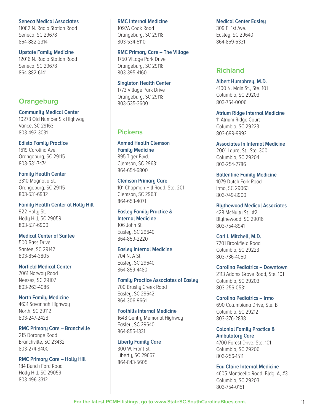#### **Seneca Medical Associates**

11082 N. Radio Station Road Seneca, SC 29678 864-882-2314

#### **Upstate Family Medicine**

12016 N. Radio Station Road Seneca, SC 29678 864-882-6141

## **Orangeburg**

#### **Community Medical Center**

10278 Old Number Six Highway Vance, SC 29163 803-492-3031

#### **Edisto Family Practice**

1619 Carolina Ave. Orangeburg, SC 29115 803-531-7474

#### **Family Health Center**

3310 Magnolia St. Orangeburg, SC 29115 803-531-6932

**Family Health Center at Holly Hill** 922 Holly St. Holly Hill, SC 29059 803-531-6900

#### **Medical Center of Santee**

500 Bass Drive Santee, SC 29142 803-854-3805

#### **Norfield Medical Center** 7061 Norway Road

Neeses, SC 29107 803-263-4086

#### **North Family Medicine**

4631 Savannah Highway North, SC 29112 803-247-2428

#### **RMC Primary Care – Branchville**

215 Dorange Road Branchville, SC 23432 803-274-8400

## **RMC Primary Care – Holly Hill**

184 Bunch Ford Road Holly Hill, SC 29059 803-496-3312

#### **RMC Internal Medicine**

1097A Cook Road Orangeburg, SC 29118 803-534-5110

#### **RMC Primary Care – The Village** 1750 Village Park Drive

Orangeburg, SC 29118 803-395-4160

## **Singleton Health Center**

1773 Village Park Drive Orangeburg, SC 29118 803-535-3600

## **Pickens**

**Anmed Health Clemson Family Medicine**  895 Tiger Blvd. Clemson, SC 29631 864-654-6800

#### **Clemson Primary Care**

101 Chapman Hill Road, Ste. 201 Clemson, SC 29631 864-653-4071

#### **Easley Family Practice & Internal Medicine**

106 John St. Easley, SC 29640 864-859-2220

#### **Easley Internal Medicine**

704 N. A St. Easley, SC 29640 864-859-4480

#### **Family Practice Associates of Easley**

700 Brushy Creek Road Easley, SC 29642 864-306-9661

#### **Foothills Internal Medicine**

1648 Gentry Memorial Highway Easley, SC 29640 864-855-1331

#### **Liberty Family Care**

300 W. Front St. Liberty, SC 29657 864-843-5605

#### **Medical Center Easley**

309 E. 1st Ave. Easley, SC 29640 864-859-6331

## **Richland**

**Albert Humphrey, M.D.**  4100 N. Main St., Ste. 101 Columbia, SC 29203 803-754-0006

**Atrium Ridge Internal Medicine** 11 Atrium Ridge Court Columbia, SC 29223 803-699-9992

**Associates In Internal Medicine**  2001 Laurel St., Ste. 300 Columbia, SC 29204 803-254-2786

**Ballentine Family Medicine** 1079 Dutch Fork Road Irmo, SC 29063 803-749-8900

**Blythewood Medical Associates**  428 McNulty St., #2 Blythewood, SC 29016 803-754-8941

**Carl I. Mitchell, M.D.** 7201 Brookfield Road Columbia, SC 29223 803-736-4050

**Carolina Pediatrics – Downtown** 2113 Adams Grove Road, Ste. 101 Columbia, SC 29203 803-256-0531

**Carolina Pediatrics – Irmo** 690 Columbiana Drive, Ste. B Columbia, SC 29212 803-376-2838

**Colonial Family Practice & Ambulatory Care** 4700 Forest Drive, Ste. 101 Columbia, SC 29206 803-256-1511

**Eau Claire Internal Medicine** 4605 Monticello Road, Bldg. A, #3 Columbia, SC 29203 803-754-0151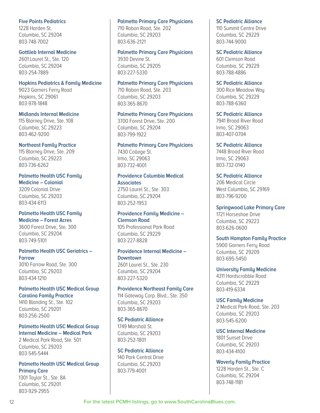#### **Five Points Pediatrics**

1228 Harden St. Columbia, SC 29204 803-748-7002

#### **Gottlieb Internal Medicine**

2601 Laurel St., Ste. 120 Columbia, SC 29204 803-254-7889

#### **Hopkins Pediatrics & Family Medicine**

9023 Garners Ferry Road Hopkins, SC 29061 803-978-1848

#### **Midlands Internal Medicine**

115 Blarney Drive, Ste. 108 Columbia, SC 29223 803-462-9200

#### **Northeast Family Practice**

115 Blarney Drive, Ste. 209 Columbia, SC 29223 803-736-6262

## **Palmetto Health USC Family**

**Medicine – Colonial** 3209 Colonial Drive Columbia, SC 29203 803-434-6113

#### **Palmetto Health USC Family Medicine – Forest Acres**

3600 Forest Drive, Ste. 300 Columbia, SC 29204 803-749-5101

#### **Palmetto Health USC Geriatrics – Farrow**

3010 Farrow Road, Ste. 300 Columbia, SC 29203 803-434-1210

#### **Palmetto Health USC Medical Group Carolina Family Practice**

1410 Blanding St., Ste. 102 Columbia, SC 29201 803-256-2500

#### **Palmetto Health USC Medical Group Internal Medicine – Medical Park**

2 Medical Park Road, Ste. 501 Columbia, SC 29203 803-545-5444

#### **Palmetto Health USC Medical Group Primary Care**

1301 Taylor St., Ste. 8A Columbia, SC 29201 803-929-2955

#### **Palmetto Primary Care Physicians**

710 Rabon Road, Ste. 202 Columbia, SC 29203 803-636-2121

#### **Palmetto Primary Care Physicians**

3930 Devine St. Columbia, SC 29205 803-227-5330

#### **Palmetto Primary Care Physicians**

710 Rabon Road, Ste. 203 Columbia, SC 29203 803-365-8670

#### **Palmetto Primary Care Physicians**

3700 Forest Drive, Ste. 200 Columbia, SC 29204 803-799-1922

#### **Palmetto Primary Care Physicians**

7430 College St. Irmo, SC 29063 803-732-4001

#### **Providence Columbia Medical Associates**

2750 Laurel St., Ste. 303 Columbia, SC 29204 803-252-1953

#### **Providence Family Medicine – Clemson Road**

105 Professional Park Road Columbia, SC 29229 803-227-8828

#### **Providence Internal Medicine – Downtown**

2601 Laurel St., Ste. 230 Columbia, SC 29204 803-227-5320

#### **Providence Northeast Family Care**

114 Gateway Corp. Blvd., Ste. 350 Columbia, SC 29203 803-365-8670

#### **SC Pediatric Alliance**

1749 Marshall St. Columbia, SC 29203 803-252-1801

#### **SC Pediatric Alliance**

140 Park Central Drive Columbia, SC 29203 803-779-4001

#### **SC Pediatric Alliance**

110 Summit Centre Drive Columbia, SC 29229 803-744-9000

#### **SC Pediatric Alliance**

601 Clemson Road Columbia, SC 29229 803-788-4886

#### **SC Pediatric Alliance**

300 Rice Meadow Way Columbia, SC 29229 803-788-6360

#### **SC Pediatric Alliance**

7941 Broad River Road Irmo, SC 29063 803-407-0704

#### **SC Pediatric Alliance**

7448 Broad River Road Irmo, SC 29063 803-732-0140

#### **SC Pediatric Alliance**

206 Medical Circle West Columbia, SC 29169 803-796-9200

#### **Springwood Lake Primary Care**  1721 Horseshoe Drive

Columbia, SC 29223 803-626-0600

#### **South Hampton Family Practice**

5900 Garners Ferry Road Columbia, SC 29209 803-695-5450

#### **University Family Medicine**

4311 Hardscrabble Road Columbia, SC 29229 803-419-6334

## **USC Family Medicine**

2 Medical Park Road, Ste. 203 Columbia, SC 29203 803-545-6200

#### **USC Internal Medicine**

1801 Sunset Drive Columbia, SC 29203 803-434-4100

## **Waverly Family Practice** 1228 Harden St., Ste. C

Columbia, SC 29204 803-748-1181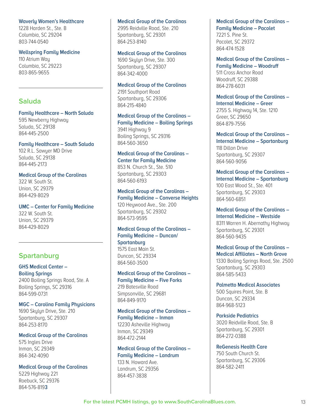#### **Waverly Women's Healthcare**

1228 Harden St., Ste. B Columbia, SC 29204 803-744-0540

#### **Wellspring Family Medicine**

110 Atrium Way Columbia, SC 29223 803-865-9655

## **Saluda**

**Family Healthcare – North Saluda** 595 Newberry Highway Saluda, SC 29138 864-445-2500

**Family Healthcare – South Saluda** 102 R.L. Sawyer MD Drive Saluda, SC 29138 864-445-2173

**Medical Group of the Carolinas**  322 W. South St. Union, SC 29379 864-429-8029

**UMC – Center for Family Medicine**  322 W. South St. Union, SC 29379 864-429-8029

## **Spartanburg**

**GHS Medical Center – Boiling Springs** 2400 Boiling Springs Road, Ste. A Boiling Springs, SC 29316 864-599-0731

**MGC – Carolina Family Physicians** 1690 Skylyn Drive, Ste. 210 Spartanburg, SC 29307 864-253-8170

**Medical Group of the Carolinas**  575 Ingles Drive Inman, SC 29349 864-342-4090

#### **Medical Group of the Carolinas**

5229 Highway 221 Roebuck, SC 29376 864-576-819**3** 

#### **Medical Group of the Carolinas**

2995 Reidville Road, Ste. 210 Spartanburg, SC 29301 864-253-8140

#### **Medical Group of the Carolinas**

1690 Skylyn Drive, Ste. 300 Spartanburg, SC 29307 864-342-4000

**Medical Group of the Carolinas** 

2191 Southport Road Spartanburg, SC 29306 864-215-4840

**Medical Group of the Carolinas – Family Medicine – Boiling Springs** 3941 Highway 9 Boiling Springs, SC 29316 864-560-3650

**Medical Group of the Carolinas – Center for Family Medicine** 853 N. Church St., Ste. 510 Spartanburg, SC 29303 864-560-6193

**Medical Group of the Carolinas – Family Medicine – Converse Heights** 120 Heywood Ave., Ste. 200 Spartanburg, SC 29302 864-573-9595

#### **Medical Group of the Carolinas – Family Medicine – Duncan/ Spartanburg**

1575 East Main St. Duncan, SC 29334 864-560-3500

**Medical Group of the Carolinas – Family Medicine – Five Forks** 219 Batesville Road Simpsonville, SC 29681 864-849-9170

## **Medical Group of the Carolinas – Family Medicine – Inman** 12230 Asheville Highway

Inman, SC 29349 864-472-2144

#### **Medical Group of the Carolinas – Family Medicine – Landrum**

133 N. Howard Ave. Landrum, SC 29356 864-457-3838

#### **Medical Group of the Carolinas – Family Medicine – Pacolet** 7221 S. Pine St. Pacolet, SC 29372 864-474-1528

**Medical Group of the Carolinas – Family Medicine – Woodruff** 511 Cross Anchor Road Woodruff, SC 29388 864-278-6031

**Medical Group of the Carolinas – Internal Medicine – Greer** 2755 S. Highway 14, Ste. 1210 Greer, SC 29650 864-879-7556

**Medical Group of the Carolinas – Internal Medicine – Spartanburg** 118 Dillon Drive Spartanburg, SC 29307 864-560-9056

**Medical Group of the Carolinas – Internal Medicine – Spartanburg** 100 East Wood St., Ste. 401 Spartanburg, SC 29303 864-560-6851

**Medical Group of the Carolinas – Internal Medicine – Westside** 8311 Warren H. Abernathy Highway Spartanburg, SC 29301 864-560-9435

**Medical Group of the Carolinas – Medical Affiliates – North Grove**  1330 Boiling Springs Road, Ste. 2500 Spartanburg, SC 29303 864-585-5433

**Palmetto Medical Associates**

500 Squires Point, Ste. B Duncan, SC 29334 864-968-5123

**Parkside Pediatrics** 

3020 Reidville Road, Ste. B Spartanburg, SC 29301 864-272-0388

**ReGenesis Health Care**

750 South Church St. Spartanburg, SC 29306 864-582-2411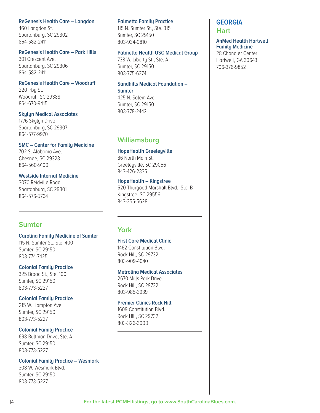## **ReGenesis Health Care – Langdon**

460 Langdon St. Spartanburg, SC 29302 864-582-2411

#### **ReGenesis Health Care – Park Hills**

301 Crescent Ave. Spartanburg, SC 29306 864-582-2411

#### **ReGenesis Health Care – Woodruff**

220 Irbu St. Woodruff, SC 29388 864-670-9415

#### **Skylyn Medical Associates**

1776 Skylyn Drive Spartanburg, SC 29307 864-577-9970

#### **SMC – Center for Family Medicine**

702 S. Alabama Ave. Chesnee, SC 29323 864-560-9100

#### **Westside Internal Medicine**

3070 Reidville Road Spartanburg, SC 29301 864-576-5764

## **Sumter**

**Carolina Family Medicine of Sumter**  115 N. Sumter St., Ste. 400 Sumter, SC 29150 803-774-7425

#### **Colonial Family Practice**

325 Broad St., Ste. 100 Sumter, SC 29150 803-773-5227

#### **Colonial Family Practice**

215 W. Hampton Ave. Sumter, SC 29150 803-773-5227

#### **Colonial Family Practice**

698 Bultman Drive, Ste. A Sumter, SC 29150 803-773-5227

#### **Colonial Family Practice – Wesmark**

308 W. Wesmark Blvd. Sumter, SC 29150 803-773-5227

#### **Palmetto Family Practice**

115 N. Sumter St., Ste. 315 Sumter, SC 29150 803-934-0810

#### **Palmetto Health USC Medical Group**

738 W. Liberty St., Ste. A Sumter, SC 29150 803-775-6374

#### **Sandhills Medical Foundation – Sumter** 425 N. Salem Ave.

Sumter, SC 29150 803-778-2442

# **Williamsburg**

#### **HopeHealth Greeleyville**

86 North Main St. Greeleyville, SC 29056 843-426-2335

# **HopeHealth – Kingstree**

520 Thurgood Marshall Blvd., Ste. B Kingstree, SC 29556 843-355-5628

## **York**

## **First Care Medical Clinic**

1462 Constitution Blvd. Rock Hill, SC 29732 803-909-4040

#### **Metrolina Medical Associates**

2670 Mills Park Drive Rock Hill, SC 29732 803-985-3939

#### **Premier Clinics Rock Hill**

1609 Constitution Blvd. Rock Hill, SC 29732 803-326-3000

# **GEORGIA**

**Hart**

#### **AnMed Health Hartwell Family Medicine**

28 Chandler Center Hartwell, GA 30643 706-376-9852